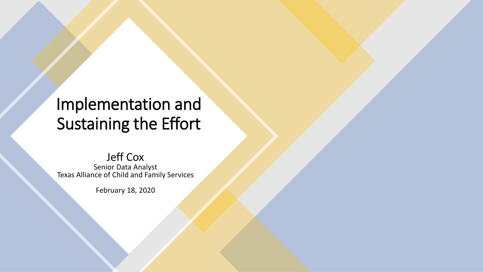### Implementation and Sustaining the Effort

#### Jeff Cox

Senior Data Analyst Texas Alliance of Child and Family Services

February 18, 2020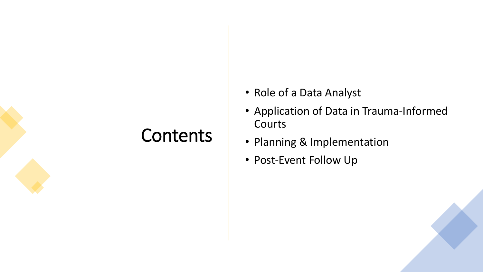## **Contents**

- Role of a Data Analyst
- Application of Data in Trauma-Informed Courts
- Planning & Implementation
- Post-Event Follow Up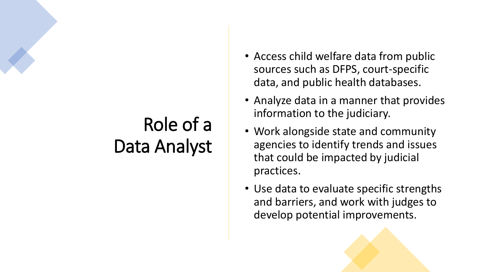# Role of a Data Analyst

- Access child welfare data from public sources such as DFPS, court-specific data, and public health databases.
- Analyze data in a manner that provides information to the judiciary.
- Work alongside state and community agencies to identify trends and issues that could be impacted by judicial practices.
- Use data to evaluate specific strengths and barriers, and work with judges to develop potential improvements.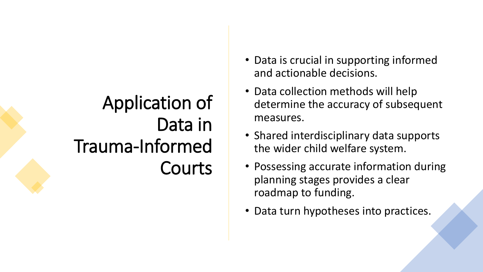## Application of Data in Trauma-Informed Courts

- Data is crucial in supporting informed and actionable decisions.
- Data collection methods will help determine the accuracy of subsequent measures.
- Shared interdisciplinary data supports the wider child welfare system.
- Possessing accurate information during planning stages provides a clear roadmap to funding.
- Data turn hypotheses into practices.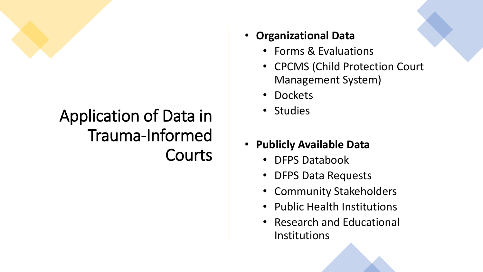

## Application of Data in Trauma-Informed Courts

- **Organizational Data**
	- Forms & Evaluations
	- CPCMS (Child Protection Court Management System)
	- Dockets
	- Studies
- **Publicly Available Data**
	- DFPS Databook
	- DFPS Data Requests
	- Community Stakeholders
	- Public Health Institutions
	- Research and Educational Institutions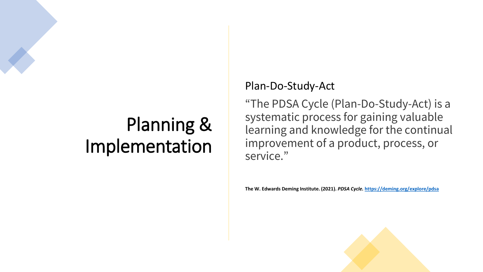## Planning & Implementation

#### Plan-Do-Study-Act

"The PDSA Cycle (Plan-Do-Study-Act) is a systematic process for gaining valuable learning and knowledge for the continual improvement of a product, process, or service."

**The W. Edwards Deming Institute. (2021).** *PDSA Cycle.* **<https://deming.org/explore/pdsa>**

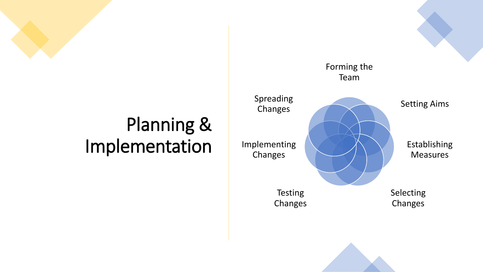## Planning & Implementation

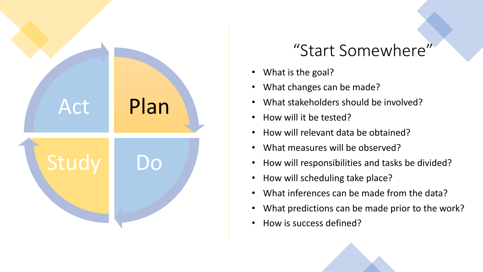

#### "Start Somewhere"

- What is the goal?
- What changes can be made?
- What stakeholders should be involved?
- How will it be tested?
- How will relevant data be obtained?
- What measures will be observed?
- How will responsibilities and tasks be divided?
- How will scheduling take place?
- What inferences can be made from the data?
- What predictions can be made prior to the work?
- How is success defined?

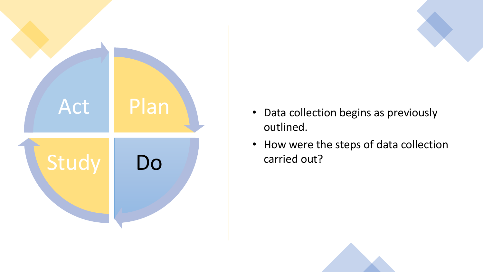

- Data collection begins as previously outlined.
- How were the steps of data collection carried out?

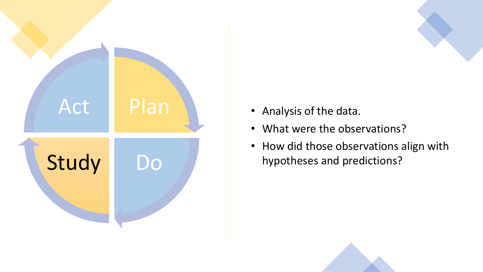

- Analysis of the data.
- What were the observations?
- How did those observations align with hypotheses and predictions?

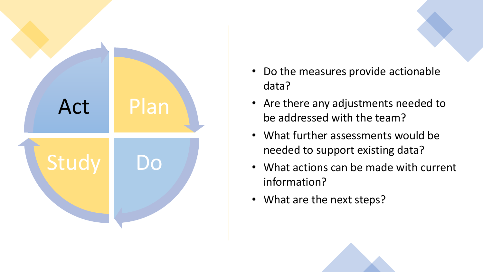

- Do the measures provide actionable data?
- Are there any adjustments needed to be addressed with the team?
- What further assessments would be needed to support existing data?
- What actions can be made with current information?
- What are the next steps?